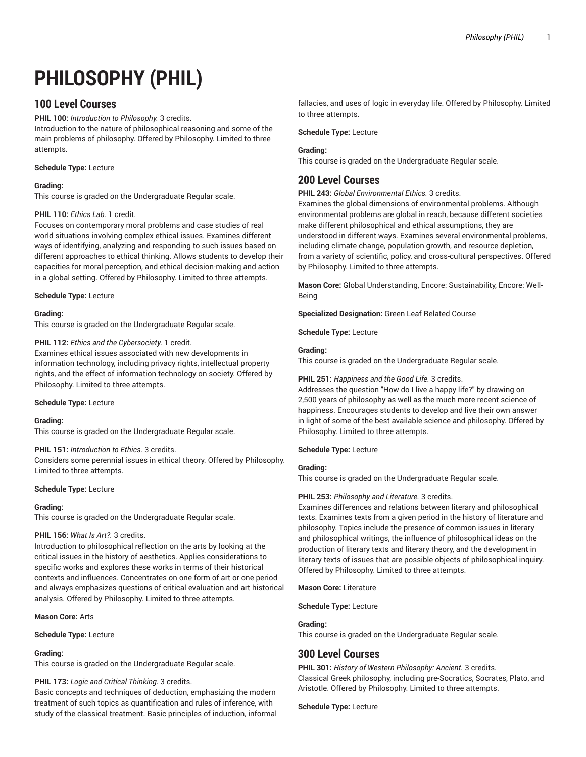# **PHILOSOPHY (PHIL)**

# **100 Level Courses**

**PHIL 100:** *Introduction to Philosophy.* 3 credits.

Introduction to the nature of philosophical reasoning and some of the main problems of philosophy. Offered by Philosophy. Limited to three attempts.

# **Schedule Type:** Lecture

# **Grading:**

This course is graded on the Undergraduate Regular scale.

# **PHIL 110:** *Ethics Lab.* 1 credit.

Focuses on contemporary moral problems and case studies of real world situations involving complex ethical issues. Examines different ways of identifying, analyzing and responding to such issues based on different approaches to ethical thinking. Allows students to develop their capacities for moral perception, and ethical decision-making and action in a global setting. Offered by Philosophy. Limited to three attempts.

# **Schedule Type:** Lecture

# **Grading:**

This course is graded on the Undergraduate Regular scale.

# **PHIL 112:** *Ethics and the Cybersociety.* 1 credit.

Examines ethical issues associated with new developments in information technology, including privacy rights, intellectual property rights, and the effect of information technology on society. Offered by Philosophy. Limited to three attempts.

# **Schedule Type:** Lecture

# **Grading:**

This course is graded on the Undergraduate Regular scale.

# **PHIL 151:** *Introduction to Ethics.* 3 credits.

Considers some perennial issues in ethical theory. Offered by Philosophy. Limited to three attempts.

# **Schedule Type:** Lecture

# **Grading:**

This course is graded on the Undergraduate Regular scale.

# **PHIL 156:** *What Is Art?.* 3 credits.

Introduction to philosophical reflection on the arts by looking at the critical issues in the history of aesthetics. Applies considerations to specific works and explores these works in terms of their historical contexts and influences. Concentrates on one form of art or one period and always emphasizes questions of critical evaluation and art historical analysis. Offered by Philosophy. Limited to three attempts.

**Mason Core:** Arts

# **Schedule Type:** Lecture

# **Grading:**

This course is graded on the Undergraduate Regular scale.

# **PHIL 173:** *Logic and Critical Thinking.* 3 credits.

Basic concepts and techniques of deduction, emphasizing the modern treatment of such topics as quantification and rules of inference, with study of the classical treatment. Basic principles of induction, informal

fallacies, and uses of logic in everyday life. Offered by Philosophy. Limited to three attempts.

# **Schedule Type:** Lecture

# **Grading:**

This course is graded on the Undergraduate Regular scale.

# **200 Level Courses**

**PHIL 243:** *Global Environmental Ethics.* 3 credits.

Examines the global dimensions of environmental problems. Although environmental problems are global in reach, because different societies make different philosophical and ethical assumptions, they are understood in different ways. Examines several environmental problems, including climate change, population growth, and resource depletion, from a variety of scientific, policy, and cross-cultural perspectives. Offered by Philosophy. Limited to three attempts.

**Mason Core:** Global Understanding, Encore: Sustainability, Encore: Well-Being

**Specialized Designation:** Green Leaf Related Course

**Schedule Type:** Lecture

# **Grading:**

This course is graded on the Undergraduate Regular scale.

# **PHIL 251:** *Happiness and the Good Life.* 3 credits.

Addresses the question "How do I live a happy life?" by drawing on 2,500 years of philosophy as well as the much more recent science of happiness. Encourages students to develop and live their own answer in light of some of the best available science and philosophy. Offered by Philosophy. Limited to three attempts.

# **Schedule Type:** Lecture

# **Grading:**

This course is graded on the Undergraduate Regular scale.

# **PHIL 253:** *Philosophy and Literature.* 3 credits.

Examines differences and relations between literary and philosophical texts. Examines texts from a given period in the history of literature and philosophy. Topics include the presence of common issues in literary and philosophical writings, the influence of philosophical ideas on the production of literary texts and literary theory, and the development in literary texts of issues that are possible objects of philosophical inquiry. Offered by Philosophy. Limited to three attempts.

**Mason Core:** Literature

**Schedule Type:** Lecture

# **Grading:**

This course is graded on the Undergraduate Regular scale.

# **300 Level Courses**

**PHIL 301:** *History of Western Philosophy: Ancient.* 3 credits. Classical Greek philosophy, including pre-Socratics, Socrates, Plato, and Aristotle. Offered by Philosophy. Limited to three attempts.

# **Schedule Type:** Lecture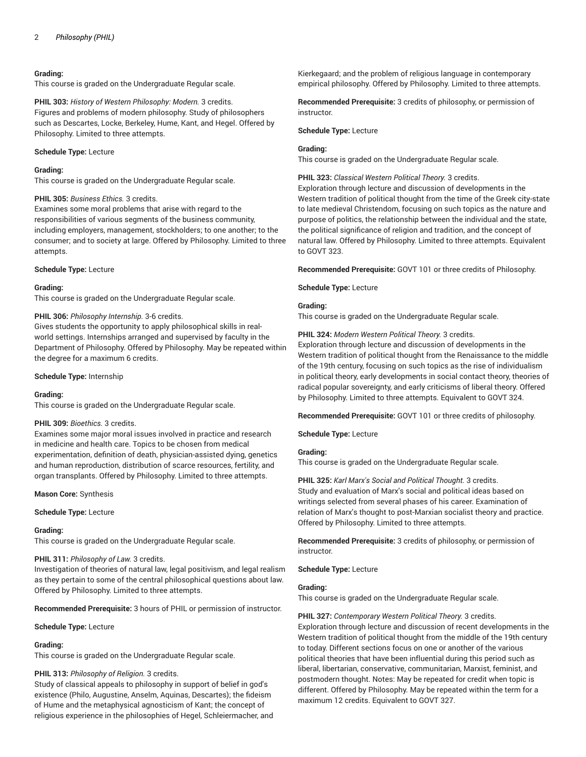# **Grading:**

This course is graded on the Undergraduate Regular scale.

**PHIL 303:** *History of Western Philosophy: Modern.* 3 credits. Figures and problems of modern philosophy. Study of philosophers such as Descartes, Locke, Berkeley, Hume, Kant, and Hegel. Offered by Philosophy. Limited to three attempts.

# **Schedule Type:** Lecture

#### **Grading:**

This course is graded on the Undergraduate Regular scale.

# **PHIL 305:** *Business Ethics.* 3 credits.

Examines some moral problems that arise with regard to the responsibilities of various segments of the business community, including employers, management, stockholders; to one another; to the consumer; and to society at large. Offered by Philosophy. Limited to three attempts.

# **Schedule Type:** Lecture

#### **Grading:**

This course is graded on the Undergraduate Regular scale.

# **PHIL 306:** *Philosophy Internship.* 3-6 credits.

Gives students the opportunity to apply philosophical skills in realworld settings. Internships arranged and supervised by faculty in the Department of Philosophy. Offered by Philosophy. May be repeated within the degree for a maximum 6 credits.

# **Schedule Type:** Internship

# **Grading:**

This course is graded on the Undergraduate Regular scale.

# **PHIL 309:** *Bioethics.* 3 credits.

Examines some major moral issues involved in practice and research in medicine and health care. Topics to be chosen from medical experimentation, definition of death, physician-assisted dying, genetics and human reproduction, distribution of scarce resources, fertility, and organ transplants. Offered by Philosophy. Limited to three attempts.

**Mason Core:** Synthesis

#### **Schedule Type:** Lecture

# **Grading:**

This course is graded on the Undergraduate Regular scale.

# **PHIL 311:** *Philosophy of Law.* 3 credits.

Investigation of theories of natural law, legal positivism, and legal realism as they pertain to some of the central philosophical questions about law. Offered by Philosophy. Limited to three attempts.

**Recommended Prerequisite:** 3 hours of PHIL or permission of instructor.

# **Schedule Type:** Lecture

# **Grading:**

This course is graded on the Undergraduate Regular scale.

# **PHIL 313:** *Philosophy of Religion.* 3 credits.

Study of classical appeals to philosophy in support of belief in god's existence (Philo, Augustine, Anselm, Aquinas, Descartes); the fideism of Hume and the metaphysical agnosticism of Kant; the concept of religious experience in the philosophies of Hegel, Schleiermacher, and Kierkegaard; and the problem of religious language in contemporary empirical philosophy. Offered by Philosophy. Limited to three attempts.

**Recommended Prerequisite:** 3 credits of philosophy, or permission of instructor.

#### **Schedule Type:** Lecture

# **Grading:**

This course is graded on the Undergraduate Regular scale.

**PHIL 323:** *Classical Western Political Theory.* 3 credits.

Exploration through lecture and discussion of developments in the Western tradition of political thought from the time of the Greek city-state to late medieval Christendom, focusing on such topics as the nature and purpose of politics, the relationship between the individual and the state, the political significance of religion and tradition, and the concept of natural law. Offered by Philosophy. Limited to three attempts. Equivalent to GOVT 323.

**Recommended Prerequisite:** GOVT 101 or three credits of Philosophy.

**Schedule Type:** Lecture

# **Grading:**

This course is graded on the Undergraduate Regular scale.

**PHIL 324:** *Modern Western Political Theory.* 3 credits.

Exploration through lecture and discussion of developments in the Western tradition of political thought from the Renaissance to the middle of the 19th century, focusing on such topics as the rise of individualism in political theory, early developments in social contact theory, theories of radical popular sovereignty, and early criticisms of liberal theory. Offered by Philosophy. Limited to three attempts. Equivalent to GOVT 324.

**Recommended Prerequisite:** GOVT 101 or three credits of philosophy.

**Schedule Type:** Lecture

# **Grading:**

This course is graded on the Undergraduate Regular scale.

**PHIL 325:** *Karl Marx's Social and Political Thought.* 3 credits. Study and evaluation of Marx's social and political ideas based on writings selected from several phases of his career. Examination of relation of Marx's thought to post-Marxian socialist theory and practice. Offered by Philosophy. Limited to three attempts.

**Recommended Prerequisite:** 3 credits of philosophy, or permission of instructor.

**Schedule Type:** Lecture

# **Grading:**

This course is graded on the Undergraduate Regular scale.

# **PHIL 327:** *Contemporary Western Political Theory.* 3 credits.

Exploration through lecture and discussion of recent developments in the Western tradition of political thought from the middle of the 19th century to today. Different sections focus on one or another of the various political theories that have been influential during this period such as liberal, libertarian, conservative, communitarian, Marxist, feminist, and postmodern thought. Notes: May be repeated for credit when topic is different. Offered by Philosophy. May be repeated within the term for a maximum 12 credits. Equivalent to GOVT 327.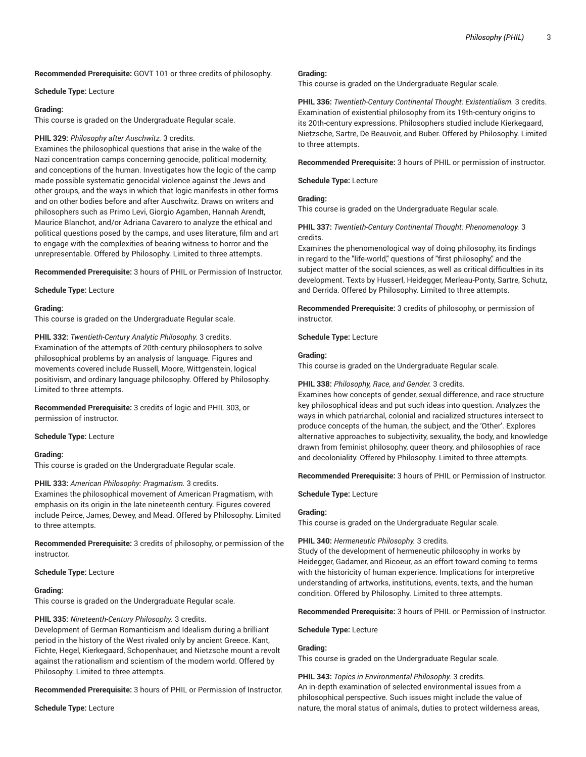**Recommended Prerequisite:** GOVT 101 or three credits of philosophy.

#### **Schedule Type:** Lecture

#### **Grading:**

This course is graded on the Undergraduate Regular scale.

# **PHIL 329:** *Philosophy after Auschwitz.* 3 credits.

Examines the philosophical questions that arise in the wake of the Nazi concentration camps concerning genocide, political modernity, and conceptions of the human. Investigates how the logic of the camp made possible systematic genocidal violence against the Jews and other groups, and the ways in which that logic manifests in other forms and on other bodies before and after Auschwitz. Draws on writers and philosophers such as Primo Levi, Giorgio Agamben, Hannah Arendt, Maurice Blanchot, and/or Adriana Cavarero to analyze the ethical and political questions posed by the camps, and uses literature, film and art to engage with the complexities of bearing witness to horror and the unrepresentable. Offered by Philosophy. Limited to three attempts.

**Recommended Prerequisite:** 3 hours of PHIL or Permission of Instructor.

**Schedule Type:** Lecture

#### **Grading:**

This course is graded on the Undergraduate Regular scale.

**PHIL 332:** *Twentieth-Century Analytic Philosophy.* 3 credits. Examination of the attempts of 20th-century philosophers to solve philosophical problems by an analysis of language. Figures and movements covered include Russell, Moore, Wittgenstein, logical positivism, and ordinary language philosophy. Offered by Philosophy. Limited to three attempts.

**Recommended Prerequisite:** 3 credits of logic and PHIL 303, or permission of instructor.

# **Schedule Type:** Lecture

# **Grading:**

This course is graded on the Undergraduate Regular scale.

# **PHIL 333:** *American Philosophy: Pragmatism.* 3 credits.

Examines the philosophical movement of American Pragmatism, with emphasis on its origin in the late nineteenth century. Figures covered include Peirce, James, Dewey, and Mead. Offered by Philosophy. Limited to three attempts.

**Recommended Prerequisite:** 3 credits of philosophy, or permission of the instructor.

#### **Schedule Type:** Lecture

# **Grading:**

This course is graded on the Undergraduate Regular scale.

# **PHIL 335:** *Nineteenth-Century Philosophy.* 3 credits.

Development of German Romanticism and Idealism during a brilliant period in the history of the West rivaled only by ancient Greece. Kant, Fichte, Hegel, Kierkegaard, Schopenhauer, and Nietzsche mount a revolt against the rationalism and scientism of the modern world. Offered by Philosophy. Limited to three attempts.

**Recommended Prerequisite:** 3 hours of PHIL or Permission of Instructor.

**Schedule Type:** Lecture

#### **Grading:**

This course is graded on the Undergraduate Regular scale.

**PHIL 336:** *Twentieth-Century Continental Thought: Existentialism.* 3 credits. Examination of existential philosophy from its 19th-century origins to its 20th-century expressions. Philosophers studied include Kierkegaard, Nietzsche, Sartre, De Beauvoir, and Buber. Offered by Philosophy. Limited to three attempts.

**Recommended Prerequisite:** 3 hours of PHIL or permission of instructor.

**Schedule Type:** Lecture

# **Grading:**

This course is graded on the Undergraduate Regular scale.

**PHIL 337:** *Twentieth-Century Continental Thought: Phenomenology.* 3 credits.

Examines the phenomenological way of doing philosophy, its findings in regard to the "life-world," questions of "first philosophy," and the subject matter of the social sciences, as well as critical difficulties in its development. Texts by Husserl, Heidegger, Merleau-Ponty, Sartre, Schutz, and Derrida. Offered by Philosophy. Limited to three attempts.

**Recommended Prerequisite:** 3 credits of philosophy, or permission of instructor.

#### **Schedule Type:** Lecture

#### **Grading:**

This course is graded on the Undergraduate Regular scale.

# **PHIL 338:** *Philosophy, Race, and Gender.* 3 credits.

Examines how concepts of gender, sexual difference, and race structure key philosophical ideas and put such ideas into question. Analyzes the ways in which patriarchal, colonial and racialized structures intersect to produce concepts of the human, the subject, and the 'Other'. Explores alternative approaches to subjectivity, sexuality, the body, and knowledge drawn from feminist philosophy, queer theory, and philosophies of race and decoloniality. Offered by Philosophy. Limited to three attempts.

**Recommended Prerequisite:** 3 hours of PHIL or Permission of Instructor.

**Schedule Type:** Lecture

# **Grading:**

This course is graded on the Undergraduate Regular scale.

# **PHIL 340:** *Hermeneutic Philosophy.* 3 credits.

Study of the development of hermeneutic philosophy in works by Heidegger, Gadamer, and Ricoeur, as an effort toward coming to terms with the historicity of human experience. Implications for interpretive understanding of artworks, institutions, events, texts, and the human condition. Offered by Philosophy. Limited to three attempts.

**Recommended Prerequisite:** 3 hours of PHIL or Permission of Instructor.

**Schedule Type:** Lecture

# **Grading:**

This course is graded on the Undergraduate Regular scale.

**PHIL 343:** *Topics in Environmental Philosophy.* 3 credits. An in-depth examination of selected environmental issues from a philosophical perspective. Such issues might include the value of nature, the moral status of animals, duties to protect wilderness areas,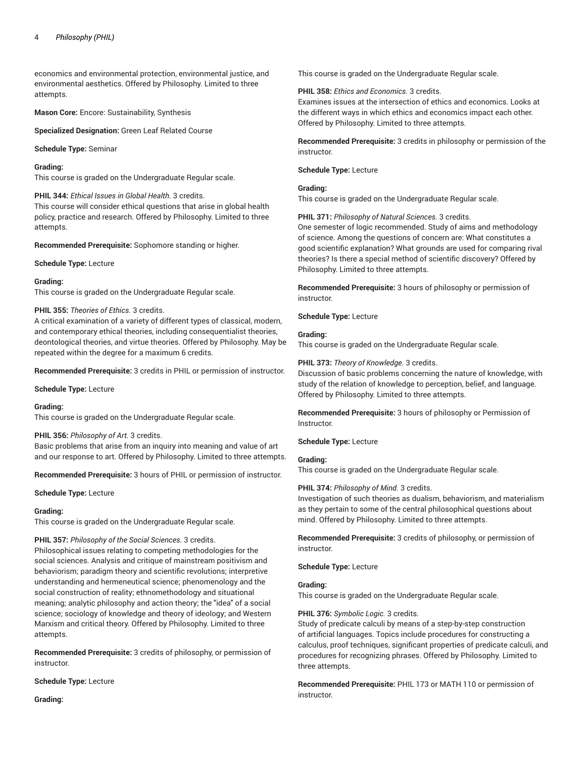economics and environmental protection, environmental justice, and environmental aesthetics. Offered by Philosophy. Limited to three attempts.

**Mason Core:** Encore: Sustainability, Synthesis

**Specialized Designation:** Green Leaf Related Course

#### **Schedule Type:** Seminar

#### **Grading:**

This course is graded on the Undergraduate Regular scale.

#### **PHIL 344:** *Ethical Issues in Global Health.* 3 credits.

This course will consider ethical questions that arise in global health policy, practice and research. Offered by Philosophy. Limited to three attempts.

**Recommended Prerequisite:** Sophomore standing or higher.

**Schedule Type:** Lecture

#### **Grading:**

This course is graded on the Undergraduate Regular scale.

# **PHIL 355:** *Theories of Ethics.* 3 credits.

A critical examination of a variety of different types of classical, modern, and contemporary ethical theories, including consequentialist theories, deontological theories, and virtue theories. Offered by Philosophy. May be repeated within the degree for a maximum 6 credits.

**Recommended Prerequisite:** 3 credits in PHIL or permission of instructor.

**Schedule Type:** Lecture

#### **Grading:**

This course is graded on the Undergraduate Regular scale.

#### **PHIL 356:** *Philosophy of Art.* 3 credits.

Basic problems that arise from an inquiry into meaning and value of art and our response to art. Offered by Philosophy. Limited to three attempts.

**Recommended Prerequisite:** 3 hours of PHIL or permission of instructor.

**Schedule Type:** Lecture

#### **Grading:**

This course is graded on the Undergraduate Regular scale.

# **PHIL 357:** *Philosophy of the Social Sciences.* 3 credits.

Philosophical issues relating to competing methodologies for the social sciences. Analysis and critique of mainstream positivism and behaviorism; paradigm theory and scientific revolutions; interpretive understanding and hermeneutical science; phenomenology and the social construction of reality; ethnomethodology and situational meaning; analytic philosophy and action theory; the "idea" of a social science; sociology of knowledge and theory of ideology; and Western Marxism and critical theory. Offered by Philosophy. Limited to three attempts.

**Recommended Prerequisite:** 3 credits of philosophy, or permission of instructor.

# **Schedule Type:** Lecture

**Grading:**

This course is graded on the Undergraduate Regular scale.

#### **PHIL 358:** *Ethics and Economics.* 3 credits.

Examines issues at the intersection of ethics and economics. Looks at the different ways in which ethics and economics impact each other. Offered by Philosophy. Limited to three attempts.

**Recommended Prerequisite:** 3 credits in philosophy or permission of the instructor.

**Schedule Type:** Lecture

# **Grading:**

This course is graded on the Undergraduate Regular scale.

**PHIL 371:** *Philosophy of Natural Sciences.* 3 credits.

One semester of logic recommended. Study of aims and methodology of science. Among the questions of concern are: What constitutes a good scientific explanation? What grounds are used for comparing rival theories? Is there a special method of scientific discovery? Offered by Philosophy. Limited to three attempts.

**Recommended Prerequisite:** 3 hours of philosophy or permission of instructor.

**Schedule Type:** Lecture

#### **Grading:**

This course is graded on the Undergraduate Regular scale.

# **PHIL 373:** *Theory of Knowledge.* 3 credits.

Discussion of basic problems concerning the nature of knowledge, with study of the relation of knowledge to perception, belief, and language. Offered by Philosophy. Limited to three attempts.

**Recommended Prerequisite:** 3 hours of philosophy or Permission of Instructor.

# **Schedule Type:** Lecture

#### **Grading:**

This course is graded on the Undergraduate Regular scale.

# **PHIL 374:** *Philosophy of Mind.* 3 credits.

Investigation of such theories as dualism, behaviorism, and materialism as they pertain to some of the central philosophical questions about mind. Offered by Philosophy. Limited to three attempts.

**Recommended Prerequisite:** 3 credits of philosophy, or permission of instructor.

**Schedule Type:** Lecture

#### **Grading:**

This course is graded on the Undergraduate Regular scale.

# **PHIL 376:** *Symbolic Logic.* 3 credits.

Study of predicate calculi by means of a step-by-step construction of artificial languages. Topics include procedures for constructing a calculus, proof techniques, significant properties of predicate calculi, and procedures for recognizing phrases. Offered by Philosophy. Limited to three attempts.

**Recommended Prerequisite:** PHIL 173 or MATH 110 or permission of instructor.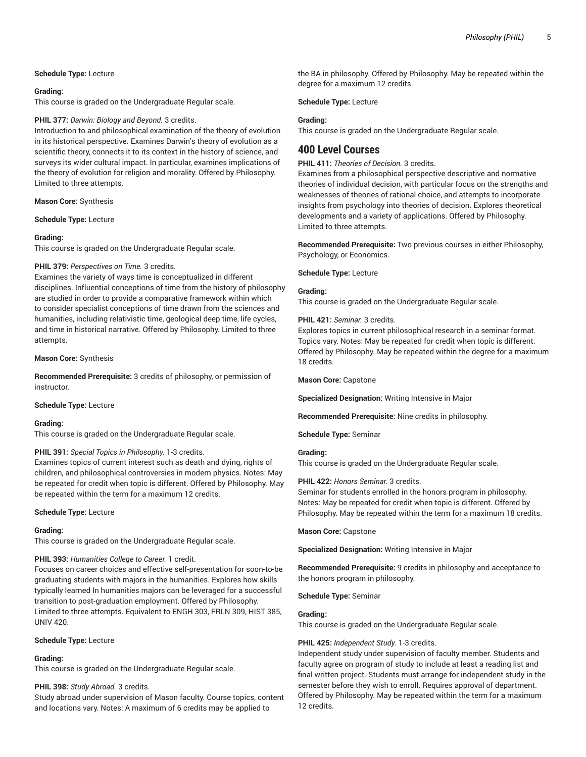# **Schedule Type:** Lecture

#### **Grading:**

This course is graded on the Undergraduate Regular scale.

# **PHIL 377:** *Darwin: Biology and Beyond.* 3 credits.

Introduction to and philosophical examination of the theory of evolution in its historical perspective. Examines Darwin's theory of evolution as a scientific theory, connects it to its context in the history of science, and surveys its wider cultural impact. In particular, examines implications of the theory of evolution for religion and morality. Offered by Philosophy. Limited to three attempts.

#### **Mason Core:** Synthesis

**Schedule Type:** Lecture

# **Grading:**

This course is graded on the Undergraduate Regular scale.

#### **PHIL 379:** *Perspectives on Time.* 3 credits.

Examines the variety of ways time is conceptualized in different disciplines. Influential conceptions of time from the history of philosophy are studied in order to provide a comparative framework within which to consider specialist conceptions of time drawn from the sciences and humanities, including relativistic time, geological deep time, life cycles, and time in historical narrative. Offered by Philosophy. Limited to three attempts.

#### **Mason Core:** Synthesis

**Recommended Prerequisite:** 3 credits of philosophy, or permission of instructor.

#### **Schedule Type:** Lecture

# **Grading:**

This course is graded on the Undergraduate Regular scale.

# **PHIL 391:** *Special Topics in Philosophy.* 1-3 credits.

Examines topics of current interest such as death and dying, rights of children, and philosophical controversies in modern physics. Notes: May be repeated for credit when topic is different. Offered by Philosophy. May be repeated within the term for a maximum 12 credits.

#### **Schedule Type:** Lecture

# **Grading:**

This course is graded on the Undergraduate Regular scale.

# **PHIL 393:** *Humanities College to Career.* 1 credit.

Focuses on career choices and effective self-presentation for soon-to-be graduating students with majors in the humanities. Explores how skills typically learned In humanities majors can be leveraged for a successful transition to post-graduation employment. Offered by Philosophy. Limited to three attempts. Equivalent to ENGH 303, FRLN 309, HIST 385, UNIV 420.

# **Schedule Type:** Lecture

# **Grading:**

This course is graded on the Undergraduate Regular scale.

# **PHIL 398:** *Study Abroad.* 3 credits.

Study abroad under supervision of Mason faculty. Course topics, content and locations vary. Notes: A maximum of 6 credits may be applied to

the BA in philosophy. Offered by Philosophy. May be repeated within the degree for a maximum 12 credits.

**Schedule Type:** Lecture

#### **Grading:**

This course is graded on the Undergraduate Regular scale.

# **400 Level Courses**

# **PHIL 411:** *Theories of Decision.* 3 credits.

Examines from a philosophical perspective descriptive and normative theories of individual decision, with particular focus on the strengths and weaknesses of theories of rational choice, and attempts to incorporate insights from psychology into theories of decision. Explores theoretical developments and a variety of applications. Offered by Philosophy. Limited to three attempts.

**Recommended Prerequisite:** Two previous courses in either Philosophy, Psychology, or Economics.

**Schedule Type:** Lecture

# **Grading:**

This course is graded on the Undergraduate Regular scale.

#### **PHIL 421:** *Seminar.* 3 credits.

Explores topics in current philosophical research in a seminar format. Topics vary. Notes: May be repeated for credit when topic is different. Offered by Philosophy. May be repeated within the degree for a maximum 18 credits.

**Mason Core:** Capstone

**Specialized Designation:** Writing Intensive in Major

**Recommended Prerequisite:** Nine credits in philosophy.

**Schedule Type:** Seminar

# **Grading:**

This course is graded on the Undergraduate Regular scale.

# **PHIL 422:** *Honors Seminar.* 3 credits.

Seminar for students enrolled in the honors program in philosophy. Notes: May be repeated for credit when topic is different. Offered by Philosophy. May be repeated within the term for a maximum 18 credits.

**Mason Core:** Capstone

**Specialized Designation:** Writing Intensive in Major

**Recommended Prerequisite:** 9 credits in philosophy and acceptance to the honors program in philosophy.

#### **Schedule Type:** Seminar

# **Grading:**

This course is graded on the Undergraduate Regular scale.

# **PHIL 425:** *Independent Study.* 1-3 credits.

Independent study under supervision of faculty member. Students and faculty agree on program of study to include at least a reading list and final written project. Students must arrange for independent study in the semester before they wish to enroll. Requires approval of department. Offered by Philosophy. May be repeated within the term for a maximum 12 credits.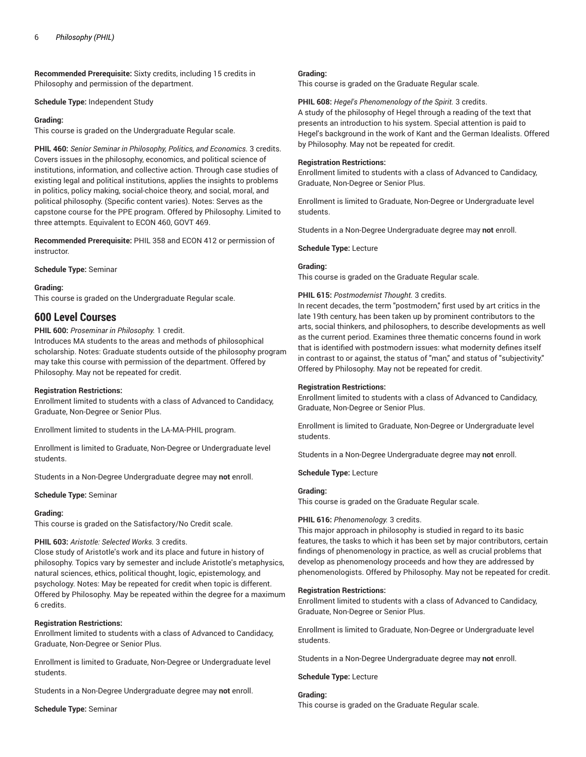**Recommended Prerequisite:** Sixty credits, including 15 credits in Philosophy and permission of the department.

**Schedule Type:** Independent Study

#### **Grading:**

This course is graded on the Undergraduate Regular scale.

**PHIL 460:** *Senior Seminar in Philosophy, Politics, and Economics.* 3 credits. Covers issues in the philosophy, economics, and political science of institutions, information, and collective action. Through case studies of existing legal and political institutions, applies the insights to problems in politics, policy making, social-choice theory, and social, moral, and political philosophy. (Specific content varies). Notes: Serves as the capstone course for the PPE program. Offered by Philosophy. Limited to three attempts. Equivalent to ECON 460, GOVT 469.

**Recommended Prerequisite:** PHIL 358 and ECON 412 or permission of instructor.

**Schedule Type:** Seminar

#### **Grading:**

This course is graded on the Undergraduate Regular scale.

# **600 Level Courses**

**PHIL 600:** *Proseminar in Philosophy.* 1 credit.

Introduces MA students to the areas and methods of philosophical scholarship. Notes: Graduate students outside of the philosophy program may take this course with permission of the department. Offered by Philosophy. May not be repeated for credit.

# **Registration Restrictions:**

Enrollment limited to students with a class of Advanced to Candidacy, Graduate, Non-Degree or Senior Plus.

Enrollment limited to students in the LA-MA-PHIL program.

Enrollment is limited to Graduate, Non-Degree or Undergraduate level students.

Students in a Non-Degree Undergraduate degree may **not** enroll.

#### **Schedule Type:** Seminar

#### **Grading:**

This course is graded on the Satisfactory/No Credit scale.

# **PHIL 603:** *Aristotle: Selected Works.* 3 credits.

Close study of Aristotle's work and its place and future in history of philosophy. Topics vary by semester and include Aristotle's metaphysics, natural sciences, ethics, political thought, logic, epistemology, and psychology. Notes: May be repeated for credit when topic is different. Offered by Philosophy. May be repeated within the degree for a maximum 6 credits.

# **Registration Restrictions:**

Enrollment limited to students with a class of Advanced to Candidacy, Graduate, Non-Degree or Senior Plus.

Enrollment is limited to Graduate, Non-Degree or Undergraduate level students.

Students in a Non-Degree Undergraduate degree may **not** enroll.

**Schedule Type:** Seminar

#### **Grading:**

This course is graded on the Graduate Regular scale.

#### **PHIL 608:** *Hegel's Phenomenology of the Spirit.* 3 credits.

A study of the philosophy of Hegel through a reading of the text that presents an introduction to his system. Special attention is paid to Hegel's background in the work of Kant and the German Idealists. Offered by Philosophy. May not be repeated for credit.

#### **Registration Restrictions:**

Enrollment limited to students with a class of Advanced to Candidacy, Graduate, Non-Degree or Senior Plus.

Enrollment is limited to Graduate, Non-Degree or Undergraduate level students.

Students in a Non-Degree Undergraduate degree may **not** enroll.

**Schedule Type:** Lecture

# **Grading:**

This course is graded on the Graduate Regular scale.

#### **PHIL 615:** *Postmodernist Thought.* 3 credits.

In recent decades, the term "postmodern," first used by art critics in the late 19th century, has been taken up by prominent contributors to the arts, social thinkers, and philosophers, to describe developments as well as the current period. Examines three thematic concerns found in work that is identified with postmodern issues: what modernity defines itself in contrast to or against, the status of "man," and status of "subjectivity." Offered by Philosophy. May not be repeated for credit.

#### **Registration Restrictions:**

Enrollment limited to students with a class of Advanced to Candidacy, Graduate, Non-Degree or Senior Plus.

Enrollment is limited to Graduate, Non-Degree or Undergraduate level students.

Students in a Non-Degree Undergraduate degree may **not** enroll.

#### **Schedule Type:** Lecture

#### **Grading:**

This course is graded on the Graduate Regular scale.

#### **PHIL 616:** *Phenomenology.* 3 credits.

This major approach in philosophy is studied in regard to its basic features, the tasks to which it has been set by major contributors, certain findings of phenomenology in practice, as well as crucial problems that develop as phenomenology proceeds and how they are addressed by phenomenologists. Offered by Philosophy. May not be repeated for credit.

#### **Registration Restrictions:**

Enrollment limited to students with a class of Advanced to Candidacy, Graduate, Non-Degree or Senior Plus.

Enrollment is limited to Graduate, Non-Degree or Undergraduate level students.

Students in a Non-Degree Undergraduate degree may **not** enroll.

**Schedule Type:** Lecture

# **Grading:**

This course is graded on the Graduate Regular scale.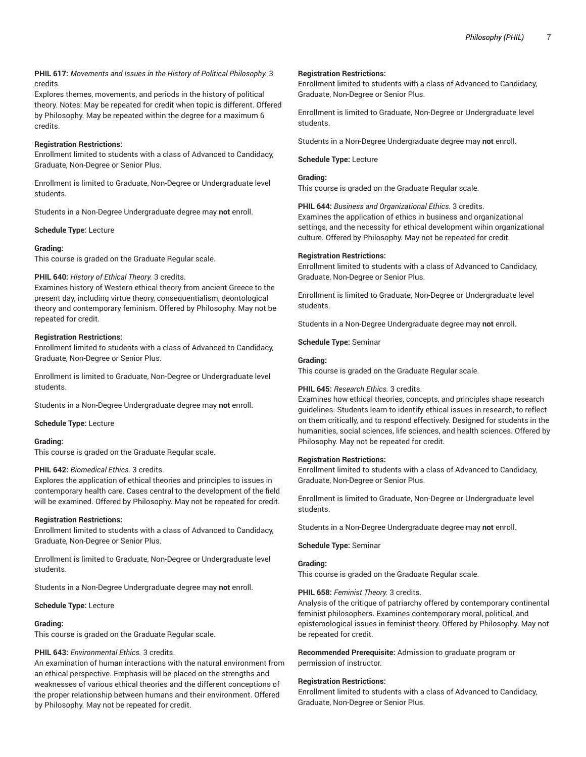# **PHIL 617:** *Movements and Issues in the History of Political Philosophy.* 3 credits.

Explores themes, movements, and periods in the history of political theory. Notes: May be repeated for credit when topic is different. Offered by Philosophy. May be repeated within the degree for a maximum 6 credits.

# **Registration Restrictions:**

Enrollment limited to students with a class of Advanced to Candidacy, Graduate, Non-Degree or Senior Plus.

Enrollment is limited to Graduate, Non-Degree or Undergraduate level students.

Students in a Non-Degree Undergraduate degree may **not** enroll.

**Schedule Type:** Lecture

#### **Grading:**

This course is graded on the Graduate Regular scale.

# **PHIL 640:** *History of Ethical Theory.* 3 credits.

Examines history of Western ethical theory from ancient Greece to the present day, including virtue theory, consequentialism, deontological theory and contemporary feminism. Offered by Philosophy. May not be repeated for credit.

# **Registration Restrictions:**

Enrollment limited to students with a class of Advanced to Candidacy, Graduate, Non-Degree or Senior Plus.

Enrollment is limited to Graduate, Non-Degree or Undergraduate level students.

Students in a Non-Degree Undergraduate degree may **not** enroll.

**Schedule Type:** Lecture

# **Grading:**

This course is graded on the Graduate Regular scale.

# **PHIL 642:** *Biomedical Ethics.* 3 credits.

Explores the application of ethical theories and principles to issues in contemporary health care. Cases central to the development of the field will be examined. Offered by Philosophy. May not be repeated for credit.

#### **Registration Restrictions:**

Enrollment limited to students with a class of Advanced to Candidacy, Graduate, Non-Degree or Senior Plus.

Enrollment is limited to Graduate, Non-Degree or Undergraduate level students.

Students in a Non-Degree Undergraduate degree may **not** enroll.

#### **Schedule Type:** Lecture

#### **Grading:**

This course is graded on the Graduate Regular scale.

# **PHIL 643:** *Environmental Ethics.* 3 credits.

An examination of human interactions with the natural environment from an ethical perspective. Emphasis will be placed on the strengths and weaknesses of various ethical theories and the different conceptions of the proper relationship between humans and their environment. Offered by Philosophy. May not be repeated for credit.

#### **Registration Restrictions:**

Enrollment limited to students with a class of Advanced to Candidacy, Graduate, Non-Degree or Senior Plus.

Enrollment is limited to Graduate, Non-Degree or Undergraduate level students.

Students in a Non-Degree Undergraduate degree may **not** enroll.

**Schedule Type:** Lecture

# **Grading:**

This course is graded on the Graduate Regular scale.

**PHIL 644:** *Business and Organizational Ethics.* 3 credits.

Examines the application of ethics in business and organizational settings, and the necessity for ethical development wihin organizational culture. Offered by Philosophy. May not be repeated for credit.

#### **Registration Restrictions:**

Enrollment limited to students with a class of Advanced to Candidacy, Graduate, Non-Degree or Senior Plus.

Enrollment is limited to Graduate, Non-Degree or Undergraduate level students.

Students in a Non-Degree Undergraduate degree may **not** enroll.

**Schedule Type:** Seminar

#### **Grading:**

This course is graded on the Graduate Regular scale.

#### **PHIL 645:** *Research Ethics.* 3 credits.

Examines how ethical theories, concepts, and principles shape research guidelines. Students learn to identify ethical issues in research, to reflect on them critically, and to respond effectively. Designed for students in the humanities, social sciences, life sciences, and health sciences. Offered by Philosophy. May not be repeated for credit.

#### **Registration Restrictions:**

Enrollment limited to students with a class of Advanced to Candidacy, Graduate, Non-Degree or Senior Plus.

Enrollment is limited to Graduate, Non-Degree or Undergraduate level students.

Students in a Non-Degree Undergraduate degree may **not** enroll.

# **Schedule Type:** Seminar

#### **Grading:**

This course is graded on the Graduate Regular scale.

#### **PHIL 658:** *Feminist Theory.* 3 credits.

Analysis of the critique of patriarchy offered by contemporary continental feminist philosophers. Examines contemporary moral, political, and epistemological issues in feminist theory. Offered by Philosophy. May not be repeated for credit.

**Recommended Prerequisite:** Admission to graduate program or permission of instructor.

# **Registration Restrictions:**

Enrollment limited to students with a class of Advanced to Candidacy, Graduate, Non-Degree or Senior Plus.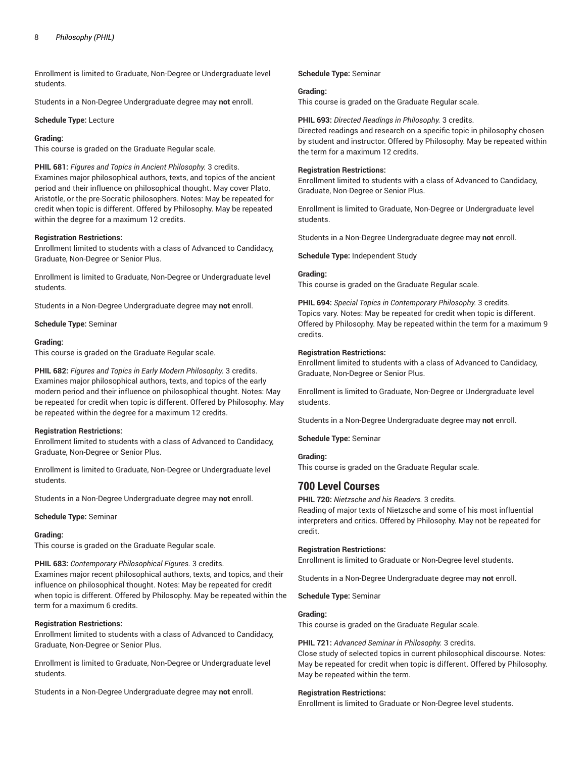Enrollment is limited to Graduate, Non-Degree or Undergraduate level students.

Students in a Non-Degree Undergraduate degree may **not** enroll.

**Schedule Type:** Lecture

#### **Grading:**

This course is graded on the Graduate Regular scale.

**PHIL 681:** *Figures and Topics in Ancient Philosophy.* 3 credits. Examines major philosophical authors, texts, and topics of the ancient period and their influence on philosophical thought. May cover Plato, Aristotle, or the pre-Socratic philosophers. Notes: May be repeated for credit when topic is different. Offered by Philosophy. May be repeated within the degree for a maximum 12 credits.

# **Registration Restrictions:**

Enrollment limited to students with a class of Advanced to Candidacy, Graduate, Non-Degree or Senior Plus.

Enrollment is limited to Graduate, Non-Degree or Undergraduate level students.

Students in a Non-Degree Undergraduate degree may **not** enroll.

**Schedule Type:** Seminar

#### **Grading:**

This course is graded on the Graduate Regular scale.

**PHIL 682:** *Figures and Topics in Early Modern Philosophy.* 3 credits. Examines major philosophical authors, texts, and topics of the early modern period and their influence on philosophical thought. Notes: May be repeated for credit when topic is different. Offered by Philosophy. May be repeated within the degree for a maximum 12 credits.

# **Registration Restrictions:**

Enrollment limited to students with a class of Advanced to Candidacy, Graduate, Non-Degree or Senior Plus.

Enrollment is limited to Graduate, Non-Degree or Undergraduate level students.

Students in a Non-Degree Undergraduate degree may **not** enroll.

**Schedule Type:** Seminar

#### **Grading:**

This course is graded on the Graduate Regular scale.

**PHIL 683:** *Contemporary Philosophical Figures.* 3 credits.

Examines major recent philosophical authors, texts, and topics, and their influence on philosophical thought. Notes: May be repeated for credit when topic is different. Offered by Philosophy. May be repeated within the term for a maximum 6 credits.

# **Registration Restrictions:**

Enrollment limited to students with a class of Advanced to Candidacy, Graduate, Non-Degree or Senior Plus.

Enrollment is limited to Graduate, Non-Degree or Undergraduate level students.

Students in a Non-Degree Undergraduate degree may **not** enroll.

#### **Schedule Type:** Seminar

#### **Grading:**

This course is graded on the Graduate Regular scale.

#### **PHIL 693:** *Directed Readings in Philosophy.* 3 credits.

Directed readings and research on a specific topic in philosophy chosen by student and instructor. Offered by Philosophy. May be repeated within the term for a maximum 12 credits.

#### **Registration Restrictions:**

Enrollment limited to students with a class of Advanced to Candidacy, Graduate, Non-Degree or Senior Plus.

Enrollment is limited to Graduate, Non-Degree or Undergraduate level students.

Students in a Non-Degree Undergraduate degree may **not** enroll.

**Schedule Type:** Independent Study

#### **Grading:**

This course is graded on the Graduate Regular scale.

**PHIL 694:** *Special Topics in Contemporary Philosophy.* 3 credits. Topics vary. Notes: May be repeated for credit when topic is different. Offered by Philosophy. May be repeated within the term for a maximum 9 credits.

#### **Registration Restrictions:**

Enrollment limited to students with a class of Advanced to Candidacy, Graduate, Non-Degree or Senior Plus.

Enrollment is limited to Graduate, Non-Degree or Undergraduate level students.

Students in a Non-Degree Undergraduate degree may **not** enroll.

**Schedule Type:** Seminar

# **Grading:**

This course is graded on the Graduate Regular scale.

# **700 Level Courses**

**PHIL 720:** *Nietzsche and his Readers.* 3 credits.

Reading of major texts of Nietzsche and some of his most influential interpreters and critics. Offered by Philosophy. May not be repeated for credit.

# **Registration Restrictions:**

Enrollment is limited to Graduate or Non-Degree level students.

Students in a Non-Degree Undergraduate degree may **not** enroll.

**Schedule Type:** Seminar

# **Grading:**

This course is graded on the Graduate Regular scale.

#### **PHIL 721:** *Advanced Seminar in Philosophy.* 3 credits.

Close study of selected topics in current philosophical discourse. Notes: May be repeated for credit when topic is different. Offered by Philosophy. May be repeated within the term.

#### **Registration Restrictions:**

Enrollment is limited to Graduate or Non-Degree level students.